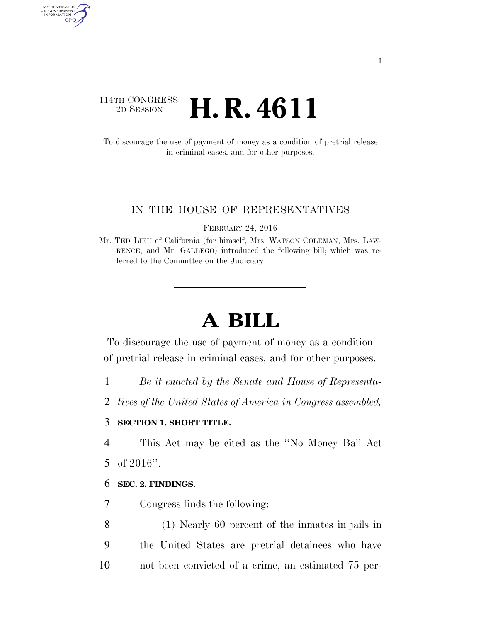### 114TH CONGRESS<br>2D SESSION 2D SESSION **H. R. 4611**

To discourage the use of payment of money as a condition of pretrial release in criminal cases, and for other purposes.

#### IN THE HOUSE OF REPRESENTATIVES

FEBRUARY 24, 2016

# **A BILL**

To discourage the use of payment of money as a condition of pretrial release in criminal cases, and for other purposes.

1 *Be it enacted by the Senate and House of Representa-*

2 *tives of the United States of America in Congress assembled,* 

#### 3 **SECTION 1. SHORT TITLE.**

4 This Act may be cited as the ''No Money Bail Act

5 of 2016''.

AUTHENTICATED<br>U.S. GOVERNMENT<br>INFORMATION GPO

#### 6 **SEC. 2. FINDINGS.**

7 Congress finds the following:

8 (1) Nearly 60 percent of the inmates in jails in 9 the United States are pretrial detainees who have 10 not been convicted of a crime, an estimated 75 per-

Mr. TED LIEU of California (for himself, Mrs. WATSON COLEMAN, Mrs. LAW-RENCE, and Mr. GALLEGO) introduced the following bill; which was referred to the Committee on the Judiciary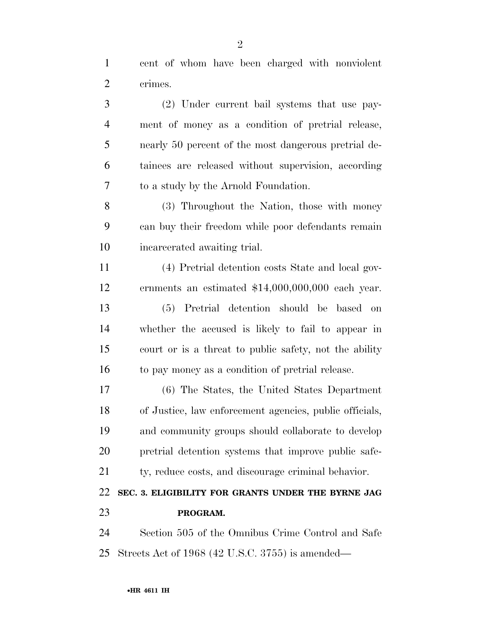cent of whom have been charged with nonviolent crimes.

 (2) Under current bail systems that use pay- ment of money as a condition of pretrial release, nearly 50 percent of the most dangerous pretrial de- tainees are released without supervision, according to a study by the Arnold Foundation.

 (3) Throughout the Nation, those with money can buy their freedom while poor defendants remain incarcerated awaiting trial.

 (4) Pretrial detention costs State and local gov- ernments an estimated \$14,000,000,000 each year. (5) Pretrial detention should be based on whether the accused is likely to fail to appear in court or is a threat to public safety, not the ability to pay money as a condition of pretrial release.

 (6) The States, the United States Department of Justice, law enforcement agencies, public officials, and community groups should collaborate to develop pretrial detention systems that improve public safe-

ty, reduce costs, and discourage criminal behavior.

## **SEC. 3. ELIGIBILITY FOR GRANTS UNDER THE BYRNE JAG PROGRAM.**

 Section 505 of the Omnibus Crime Control and Safe Streets Act of 1968 (42 U.S.C. 3755) is amended—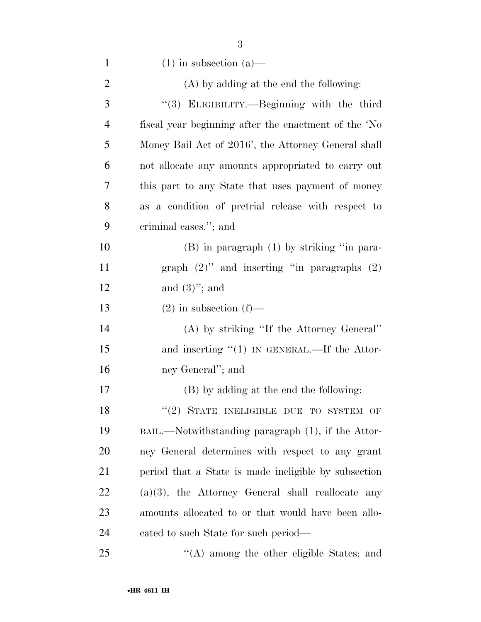| $\mathbf{1}$   | $(1)$ in subsection $(a)$ —                             |
|----------------|---------------------------------------------------------|
| $\overline{2}$ | $(A)$ by adding at the end the following:               |
| 3              | "(3) ELIGIBILITY.—Beginning with the third              |
| 4              | fiscal year beginning after the enactment of the 'No    |
| 5              | Money Bail Act of 2016', the Attorney General shall     |
| 6              | not allocate any amounts appropriated to carry out      |
| 7              | this part to any State that uses payment of money       |
| 8              | as a condition of pretrial release with respect to      |
| 9              | criminal cases."; and                                   |
| 10             | $(B)$ in paragraph $(1)$ by striking "in para-          |
| 11             | graph $(2)$ " and inserting "in paragraphs $(2)$        |
| 12             | and $(3)$ "; and                                        |
| 13             | $(2)$ in subsection $(f)$ —                             |
| 14             | (A) by striking "If the Attorney General"               |
| 15             | and inserting $(1)$ IN GENERAL.—If the Attor-           |
| 16             | ney General"; and                                       |
| 17             | (B) by adding at the end the following:                 |
| 18             | "(2) STATE INELIGIBLE DUE TO SYSTEM OF                  |
| 19             | BAIL.—Notwithstanding paragraph (1), if the Attor-      |
| 20             | ney General determines with respect to any grant        |
| 21             | period that a State is made ineligible by subsection    |
| 22             | $(a)(3)$ , the Attorney General shall reallocate<br>any |
| 23             | amounts allocated to or that would have been allo-      |
| 24             | cated to such State for such period—                    |
| 25             | $\lq\lq$ among the other eligible States; and           |